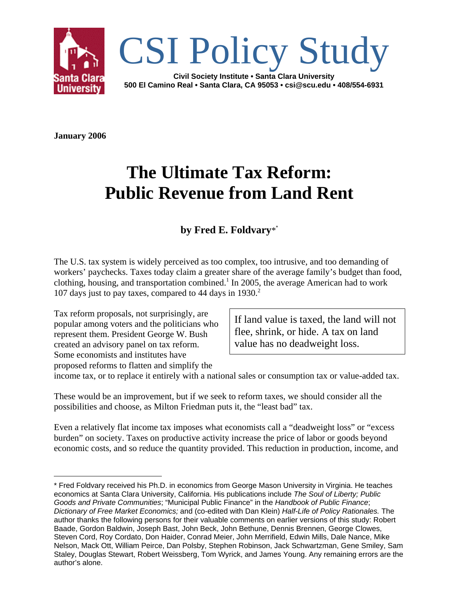

**January 2006**

# **The Ultimate Tax Reform: Public Revenue from Land Rent**

### **by Fred E. Foldvary**\*\*

The U.S. tax system is widely perceived as too complex, too intrusive, and too demanding of workers' paychecks. Taxes today claim a greater share of the average family's budget than food, clothing, housing, and transportation combined.<sup>1</sup> In 2005, the average American had to work 107 days just to pay taxes, compared to 44 days in 1930.2

Tax reform proposals, not surprisingly, are popular among voters and the politicians who represent them. President George W. Bush created an advisory panel on tax reform. Some economists and institutes have proposed reforms to flatten and simplify the

If land value is taxed, the land will not flee, shrink, or hide. A tax on land value has no deadweight loss.

income tax, or to replace it entirely with a national sales or consumption tax or value-added tax.

These would be an improvement, but if we seek to reform taxes, we should consider all the possibilities and choose, as Milton Friedman puts it, the "least bad" tax.

Even a relatively flat income tax imposes what economists call a "deadweight loss" or "excess burden" on society. Taxes on productive activity increase the price of labor or goods beyond economic costs, and so reduce the quantity provided. This reduction in production, income, and

<sup>\*</sup> Fred Foldvary received his Ph.D. in economics from George Mason University in Virginia. He teaches economics at Santa Clara University, California. His publications include *The Soul of Liberty; Public Goods and Private Communities*; "Municipal Public Finance" in the *Handbook of Public Finance*; *Dictionary of Free Market Economics;* and (co-edited with Dan Klein) *Half-Life of Policy Rationales.* The author thanks the following persons for their valuable comments on earlier versions of this study: Robert Baade, Gordon Baldwin, Joseph Bast, John Beck, John Bethune, Dennis Brennen, George Clowes, Steven Cord, Roy Cordato, Don Haider, Conrad Meier, John Merrifield, Edwin Mills, Dale Nance, Mike Nelson, Mack Ott, William Peirce, Dan Polsby, Stephen Robinson, Jack Schwartzman, Gene Smiley, Sam Staley, Douglas Stewart, Robert Weissberg, Tom Wyrick, and James Young. Any remaining errors are the author's alone.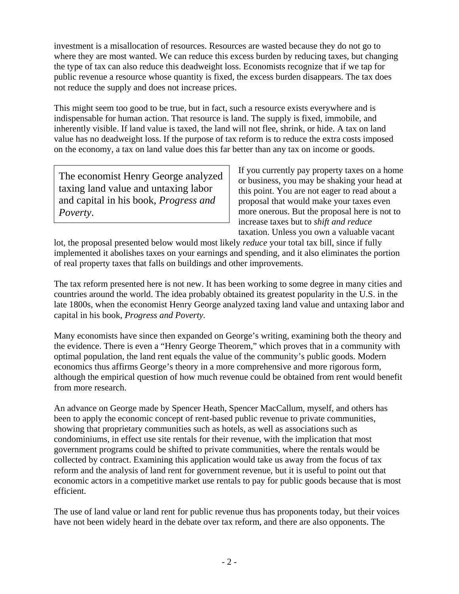investment is a misallocation of resources. Resources are wasted because they do not go to where they are most wanted. We can reduce this excess burden by reducing taxes, but changing the type of tax can also reduce this deadweight loss. Economists recognize that if we tap for public revenue a resource whose quantity is fixed, the excess burden disappears. The tax does not reduce the supply and does not increase prices.

This might seem too good to be true, but in fact, such a resource exists everywhere and is indispensable for human action. That resource is land. The supply is fixed, immobile, and inherently visible. If land value is taxed, the land will not flee, shrink, or hide. A tax on land value has no deadweight loss. If the purpose of tax reform is to reduce the extra costs imposed on the economy, a tax on land value does this far better than any tax on income or goods.

The economist Henry George analyzed taxing land value and untaxing labor and capital in his book, *Progress and Poverty*.

If you currently pay property taxes on a home or business, you may be shaking your head at this point. You are not eager to read about a proposal that would make your taxes even more onerous. But the proposal here is not to increase taxes but to *shift and reduce* taxation. Unless you own a valuable vacant

lot, the proposal presented below would most likely *reduce* your total tax bill, since if fully implemented it abolishes taxes on your earnings and spending, and it also eliminates the portion of real property taxes that falls on buildings and other improvements.

The tax reform presented here is not new. It has been working to some degree in many cities and countries around the world. The idea probably obtained its greatest popularity in the U.S. in the late 1800s, when the economist Henry George analyzed taxing land value and untaxing labor and capital in his book, *Progress and Poverty.*

Many economists have since then expanded on George's writing, examining both the theory and the evidence. There is even a "Henry George Theorem," which proves that in a community with optimal population, the land rent equals the value of the community's public goods. Modern economics thus affirms George's theory in a more comprehensive and more rigorous form, although the empirical question of how much revenue could be obtained from rent would benefit from more research.

An advance on George made by Spencer Heath, Spencer MacCallum, myself, and others has been to apply the economic concept of rent-based public revenue to private communities, showing that proprietary communities such as hotels, as well as associations such as condominiums, in effect use site rentals for their revenue, with the implication that most government programs could be shifted to private communities, where the rentals would be collected by contract. Examining this application would take us away from the focus of tax reform and the analysis of land rent for government revenue, but it is useful to point out that economic actors in a competitive market use rentals to pay for public goods because that is most efficient.

The use of land value or land rent for public revenue thus has proponents today, but their voices have not been widely heard in the debate over tax reform, and there are also opponents. The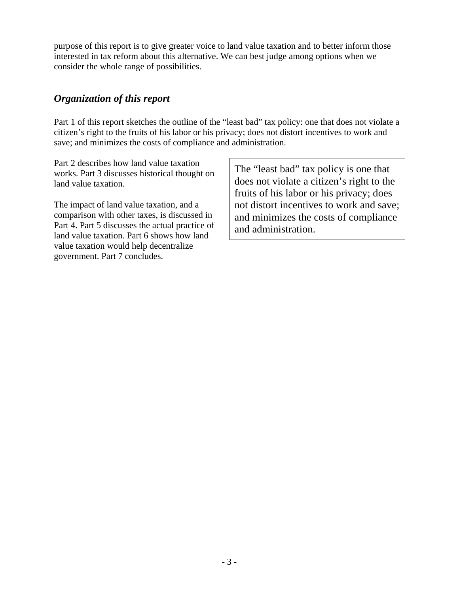purpose of this report is to give greater voice to land value taxation and to better inform those interested in tax reform about this alternative. We can best judge among options when we consider the whole range of possibilities.

### *Organization of this report*

Part 1 of this report sketches the outline of the "least bad" tax policy: one that does not violate a citizen's right to the fruits of his labor or his privacy; does not distort incentives to work and save; and minimizes the costs of compliance and administration.

Part 2 describes how land value taxation works. Part 3 discusses historical thought on land value taxation.

The impact of land value taxation, and a comparison with other taxes, is discussed in Part 4. Part 5 discusses the actual practice of land value taxation. Part 6 shows how land value taxation would help decentralize government. Part 7 concludes.

The "least bad" tax policy is one that does not violate a citizen's right to the fruits of his labor or his privacy; does not distort incentives to work and save; and minimizes the costs of compliance and administration.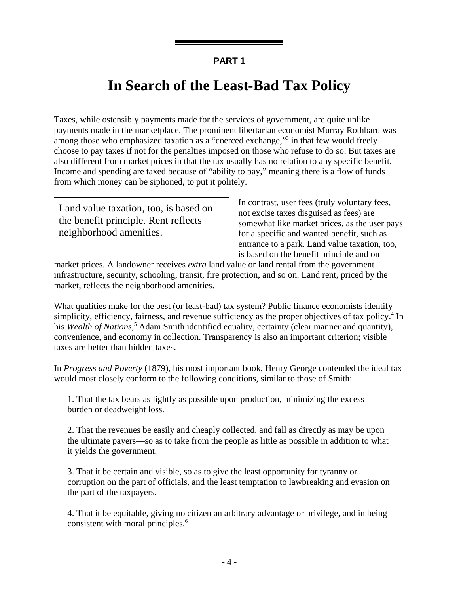## **In Search of the Least-Bad Tax Policy**

Taxes, while ostensibly payments made for the services of government, are quite unlike payments made in the marketplace. The prominent libertarian economist Murray Rothbard was among those who emphasized taxation as a "coerced exchange,"<sup>3</sup> in that few would freely choose to pay taxes if not for the penalties imposed on those who refuse to do so. But taxes are also different from market prices in that the tax usually has no relation to any specific benefit. Income and spending are taxed because of "ability to pay," meaning there is a flow of funds from which money can be siphoned, to put it politely.

Land value taxation, too, is based on the benefit principle. Rent reflects neighborhood amenities.

In contrast, user fees (truly voluntary fees, not excise taxes disguised as fees) are somewhat like market prices, as the user pays for a specific and wanted benefit, such as entrance to a park. Land value taxation, too, is based on the benefit principle and on

market prices. A landowner receives *extra* land value or land rental from the government infrastructure, security, schooling, transit, fire protection, and so on. Land rent, priced by the market, reflects the neighborhood amenities.

What qualities make for the best (or least-bad) tax system? Public finance economists identify simplicity, efficiency, fairness, and revenue sufficiency as the proper objectives of tax policy.<sup>4</sup> In his *Wealth of Nations*,<sup>5</sup> Adam Smith identified equality, certainty (clear manner and quantity), convenience, and economy in collection. Transparency is also an important criterion; visible taxes are better than hidden taxes.

In *Progress and Poverty* (1879), his most important book, Henry George contended the ideal tax would most closely conform to the following conditions, similar to those of Smith:

1. That the tax bears as lightly as possible upon production, minimizing the excess burden or deadweight loss.

2. That the revenues be easily and cheaply collected, and fall as directly as may be upon the ultimate payers—so as to take from the people as little as possible in addition to what it yields the government.

3. That it be certain and visible, so as to give the least opportunity for tyranny or corruption on the part of officials, and the least temptation to lawbreaking and evasion on the part of the taxpayers.

4. That it be equitable, giving no citizen an arbitrary advantage or privilege, and in being consistent with moral principles.<sup>6</sup>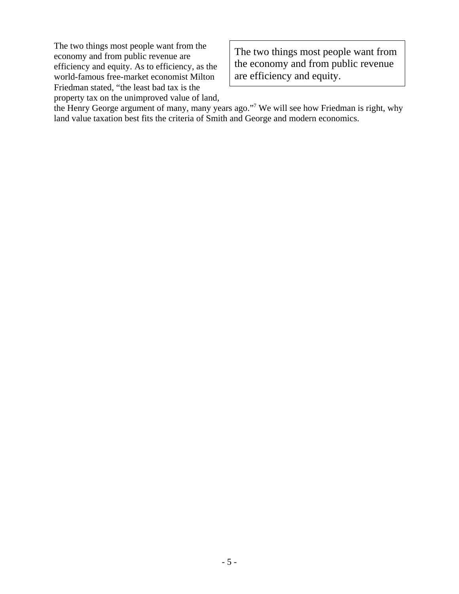The two things most people want from the economy and from public revenue are efficiency and equity. As to efficiency, as the world-famous free-market economist Milton Friedman stated, "the least bad tax is the property tax on the unimproved value of land,

The two things most people want from the economy and from public revenue are efficiency and equity.

the Henry George argument of many, many years ago."<sup>7</sup> We will see how Friedman is right, why land value taxation best fits the criteria of Smith and George and modern economics.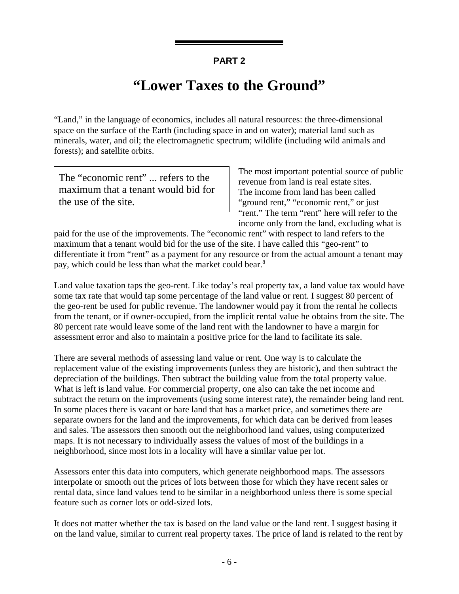## **"Lower Taxes to the Ground"**

"Land," in the language of economics, includes all natural resources: the three-dimensional space on the surface of the Earth (including space in and on water); material land such as minerals, water, and oil; the electromagnetic spectrum; wildlife (including wild animals and forests); and satellite orbits.

The "economic rent" ... refers to the maximum that a tenant would bid for the use of the site.

The most important potential source of public revenue from land is real estate sites. The income from land has been called "ground rent," "economic rent," or just "rent." The term "rent" here will refer to the income only from the land, excluding what is

paid for the use of the improvements. The "economic rent" with respect to land refers to the maximum that a tenant would bid for the use of the site. I have called this "geo-rent" to differentiate it from "rent" as a payment for any resource or from the actual amount a tenant may pay, which could be less than what the market could bear.<sup>8</sup>

Land value taxation taps the geo-rent. Like today's real property tax, a land value tax would have some tax rate that would tap some percentage of the land value or rent. I suggest 80 percent of the geo-rent be used for public revenue. The landowner would pay it from the rental he collects from the tenant, or if owner-occupied, from the implicit rental value he obtains from the site. The 80 percent rate would leave some of the land rent with the landowner to have a margin for assessment error and also to maintain a positive price for the land to facilitate its sale.

There are several methods of assessing land value or rent. One way is to calculate the replacement value of the existing improvements (unless they are historic), and then subtract the depreciation of the buildings. Then subtract the building value from the total property value. What is left is land value. For commercial property, one also can take the net income and subtract the return on the improvements (using some interest rate), the remainder being land rent. In some places there is vacant or bare land that has a market price, and sometimes there are separate owners for the land and the improvements, for which data can be derived from leases and sales. The assessors then smooth out the neighborhood land values, using computerized maps. It is not necessary to individually assess the values of most of the buildings in a neighborhood, since most lots in a locality will have a similar value per lot.

Assessors enter this data into computers, which generate neighborhood maps. The assessors interpolate or smooth out the prices of lots between those for which they have recent sales or rental data, since land values tend to be similar in a neighborhood unless there is some special feature such as corner lots or odd-sized lots.

It does not matter whether the tax is based on the land value or the land rent. I suggest basing it on the land value, similar to current real property taxes. The price of land is related to the rent by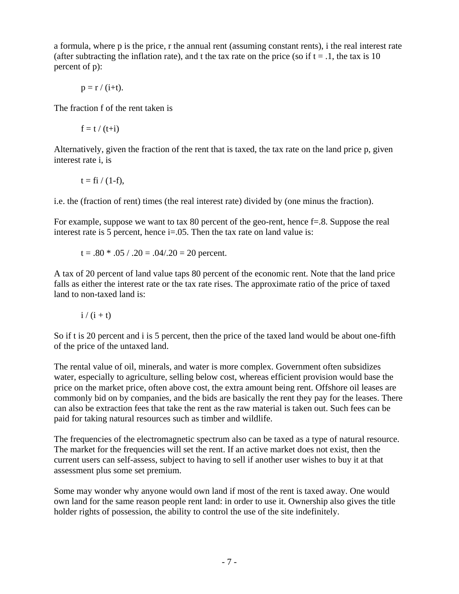a formula, where p is the price, r the annual rent (assuming constant rents), i the real interest rate (after subtracting the inflation rate), and t the tax rate on the price (so if  $t = .1$ , the tax is 10 percent of p):

$$
p = r / (i+t).
$$

The fraction f of the rent taken is

$$
f = t / (t + i)
$$

Alternatively, given the fraction of the rent that is taxed, the tax rate on the land price p, given interest rate i, is

$$
t = f\mathbf{i} / (1-f),
$$

i.e. the (fraction of rent) times (the real interest rate) divided by (one minus the fraction).

For example, suppose we want to tax 80 percent of the geo-rent, hence f=.8. Suppose the real interest rate is 5 percent, hence  $i=0.05$ . Then the tax rate on land value is:

$$
t = .80 * .05 / .20 = .04/.20 = 20
$$
 percent.

A tax of 20 percent of land value taps 80 percent of the economic rent. Note that the land price falls as either the interest rate or the tax rate rises. The approximate ratio of the price of taxed land to non-taxed land is:

$$
i/(i+t)
$$

So if t is 20 percent and i is 5 percent, then the price of the taxed land would be about one-fifth of the price of the untaxed land.

The rental value of oil, minerals, and water is more complex. Government often subsidizes water, especially to agriculture, selling below cost, whereas efficient provision would base the price on the market price, often above cost, the extra amount being rent. Offshore oil leases are commonly bid on by companies, and the bids are basically the rent they pay for the leases. There can also be extraction fees that take the rent as the raw material is taken out. Such fees can be paid for taking natural resources such as timber and wildlife.

The frequencies of the electromagnetic spectrum also can be taxed as a type of natural resource. The market for the frequencies will set the rent. If an active market does not exist, then the current users can self-assess, subject to having to sell if another user wishes to buy it at that assessment plus some set premium.

Some may wonder why anyone would own land if most of the rent is taxed away. One would own land for the same reason people rent land: in order to use it. Ownership also gives the title holder rights of possession, the ability to control the use of the site indefinitely.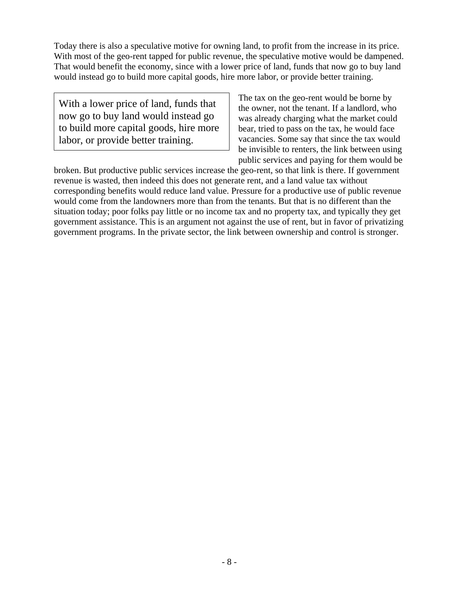Today there is also a speculative motive for owning land, to profit from the increase in its price. With most of the geo-rent tapped for public revenue, the speculative motive would be dampened. That would benefit the economy, since with a lower price of land, funds that now go to buy land would instead go to build more capital goods, hire more labor, or provide better training.

With a lower price of land, funds that now go to buy land would instead go to build more capital goods, hire more labor, or provide better training.

The tax on the geo-rent would be borne by the owner, not the tenant. If a landlord, who was already charging what the market could bear, tried to pass on the tax, he would face vacancies. Some say that since the tax would be invisible to renters, the link between using public services and paying for them would be

broken. But productive public services increase the geo-rent, so that link is there. If government revenue is wasted, then indeed this does not generate rent, and a land value tax without corresponding benefits would reduce land value. Pressure for a productive use of public revenue would come from the landowners more than from the tenants. But that is no different than the situation today; poor folks pay little or no income tax and no property tax, and typically they get government assistance. This is an argument not against the use of rent, but in favor of privatizing government programs. In the private sector, the link between ownership and control is stronger.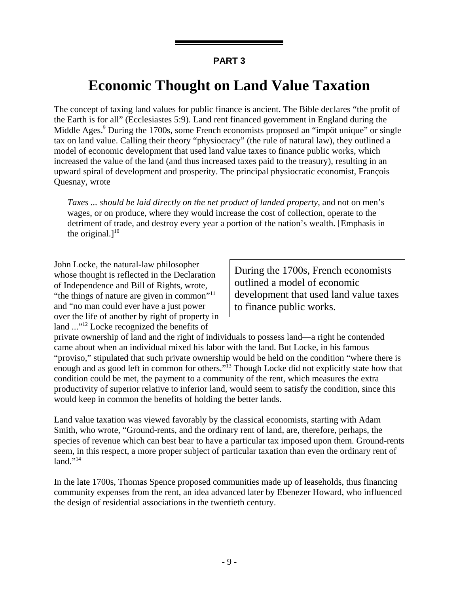## **Economic Thought on Land Value Taxation**

The concept of taxing land values for public finance is ancient. The Bible declares "the profit of the Earth is for all" (Ecclesiastes 5:9). Land rent financed government in England during the Middle Ages.<sup>9</sup> During the 1700s, some French economists proposed an "impöt unique" or single tax on land value. Calling their theory "physiocracy" (the rule of natural law), they outlined a model of economic development that used land value taxes to finance public works, which increased the value of the land (and thus increased taxes paid to the treasury), resulting in an upward spiral of development and prosperity. The principal physiocratic economist, François Quesnay, wrote

*Taxes ... should be laid directly on the net product of landed property*, and not on men's wages, or on produce, where they would increase the cost of collection, operate to the detriment of trade, and destroy every year a portion of the nation's wealth. [Emphasis in the original. $]^{10}$ 

John Locke, the natural-law philosopher whose thought is reflected in the Declaration of Independence and Bill of Rights, wrote, "the things of nature are given in common"<sup>11</sup> and "no man could ever have a just power over the life of another by right of property in land ..."12 Locke recognized the benefits of

During the 1700s, French economists outlined a model of economic development that used land value taxes to finance public works.

private ownership of land and the right of individuals to possess land—a right he contended came about when an individual mixed his labor with the land. But Locke, in his famous "proviso," stipulated that such private ownership would be held on the condition "where there is enough and as good left in common for others."<sup>13</sup> Though Locke did not explicitly state how that condition could be met, the payment to a community of the rent, which measures the extra productivity of superior relative to inferior land, would seem to satisfy the condition, since this would keep in common the benefits of holding the better lands.

Land value taxation was viewed favorably by the classical economists, starting with Adam Smith, who wrote, "Ground-rents, and the ordinary rent of land, are, therefore, perhaps, the species of revenue which can best bear to have a particular tax imposed upon them. Ground-rents seem, in this respect, a more proper subject of particular taxation than even the ordinary rent of  $land." <sup>14</sup>$ 

In the late 1700s, Thomas Spence proposed communities made up of leaseholds, thus financing community expenses from the rent, an idea advanced later by Ebenezer Howard, who influenced the design of residential associations in the twentieth century.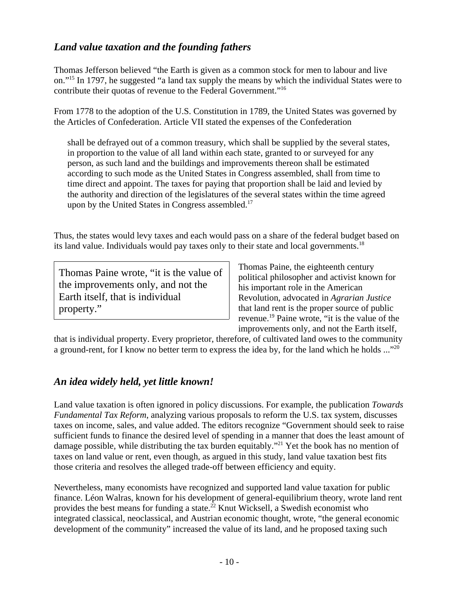## *Land value taxation and the founding fathers*

Thomas Jefferson believed "the Earth is given as a common stock for men to labour and live on."15 In 1797, he suggested "a land tax supply the means by which the individual States were to contribute their quotas of revenue to the Federal Government."16

From 1778 to the adoption of the U.S. Constitution in 1789, the United States was governed by the Articles of Confederation. Article VII stated the expenses of the Confederation

shall be defrayed out of a common treasury, which shall be supplied by the several states, in proportion to the value of all land within each state, granted to or surveyed for any person, as such land and the buildings and improvements thereon shall be estimated according to such mode as the United States in Congress assembled, shall from time to time direct and appoint. The taxes for paying that proportion shall be laid and levied by the authority and direction of the legislatures of the several states within the time agreed upon by the United States in Congress assembled.<sup>17</sup>

Thus, the states would levy taxes and each would pass on a share of the federal budget based on its land value. Individuals would pay taxes only to their state and local governments.<sup>18</sup>

Thomas Paine wrote, "it is the value of the improvements only, and not the Earth itself, that is individual property."

Thomas Paine, the eighteenth century political philosopher and activist known for his important role in the American Revolution, advocated in *Agrarian Justice* that land rent is the proper source of public revenue.19 Paine wrote, "it is the value of the improvements only, and not the Earth itself,

that is individual property. Every proprietor, therefore, of cultivated land owes to the community a ground-rent, for I know no better term to express the idea by, for the land which he holds ..."<sup>20</sup>

### *An idea widely held, yet little known!*

Land value taxation is often ignored in policy discussions. For example, the publication *Towards Fundamental Tax Reform*, analyzing various proposals to reform the U.S. tax system, discusses taxes on income, sales, and value added. The editors recognize "Government should seek to raise sufficient funds to finance the desired level of spending in a manner that does the least amount of damage possible, while distributing the tax burden equitably.<sup>"21</sup> Yet the book has no mention of taxes on land value or rent, even though, as argued in this study, land value taxation best fits those criteria and resolves the alleged trade-off between efficiency and equity.

Nevertheless, many economists have recognized and supported land value taxation for public finance. Léon Walras, known for his development of general-equilibrium theory, wrote land rent provides the best means for funding a state.22 Knut Wicksell, a Swedish economist who integrated classical, neoclassical, and Austrian economic thought, wrote, "the general economic development of the community" increased the value of its land, and he proposed taxing such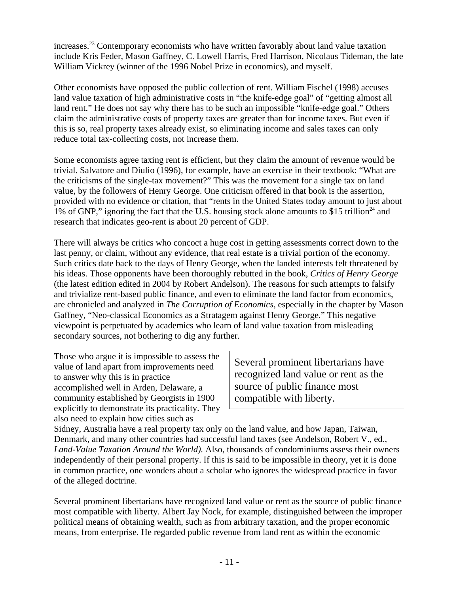increases.<sup>23</sup> Contemporary economists who have written favorably about land value taxation include Kris Feder, Mason Gaffney, C. Lowell Harris, Fred Harrison, Nicolaus Tideman, the late William Vickrey (winner of the 1996 Nobel Prize in economics), and myself.

Other economists have opposed the public collection of rent. William Fischel (1998) accuses land value taxation of high administrative costs in "the knife-edge goal" of "getting almost all land rent." He does not say why there has to be such an impossible "knife-edge goal." Others claim the administrative costs of property taxes are greater than for income taxes. But even if this is so, real property taxes already exist, so eliminating income and sales taxes can only reduce total tax-collecting costs, not increase them.

Some economists agree taxing rent is efficient, but they claim the amount of revenue would be trivial. Salvatore and Diulio (1996), for example, have an exercise in their textbook: "What are the criticisms of the single-tax movement?" This was the movement for a single tax on land value, by the followers of Henry George. One criticism offered in that book is the assertion, provided with no evidence or citation, that "rents in the United States today amount to just about 1% of GNP," ignoring the fact that the U.S. housing stock alone amounts to \$15 trillion<sup>24</sup> and research that indicates geo-rent is about 20 percent of GDP.

There will always be critics who concoct a huge cost in getting assessments correct down to the last penny, or claim, without any evidence, that real estate is a trivial portion of the economy. Such critics date back to the days of Henry George, when the landed interests felt threatened by his ideas. Those opponents have been thoroughly rebutted in the book, *Critics of Henry George* (the latest edition edited in 2004 by Robert Andelson). The reasons for such attempts to falsify and trivialize rent-based public finance, and even to eliminate the land factor from economics, are chronicled and analyzed in *The Corruption of Economics*, especially in the chapter by Mason Gaffney, "Neo-classical Economics as a Stratagem against Henry George." This negative viewpoint is perpetuated by academics who learn of land value taxation from misleading secondary sources, not bothering to dig any further.

Those who argue it is impossible to assess the value of land apart from improvements need to answer why this is in practice accomplished well in Arden, Delaware, a community established by Georgists in 1900 explicitly to demonstrate its practicality. They also need to explain how cities such as

Several prominent libertarians have recognized land value or rent as the source of public finance most compatible with liberty.

Sidney, Australia have a real property tax only on the land value, and how Japan, Taiwan, Denmark, and many other countries had successful land taxes (see Andelson, Robert V., ed., *Land-Value Taxation Around the World).* Also, thousands of condominiums assess their owners independently of their personal property. If this is said to be impossible in theory, yet it is done in common practice, one wonders about a scholar who ignores the widespread practice in favor of the alleged doctrine.

Several prominent libertarians have recognized land value or rent as the source of public finance most compatible with liberty. Albert Jay Nock, for example, distinguished between the improper political means of obtaining wealth, such as from arbitrary taxation, and the proper economic means, from enterprise. He regarded public revenue from land rent as within the economic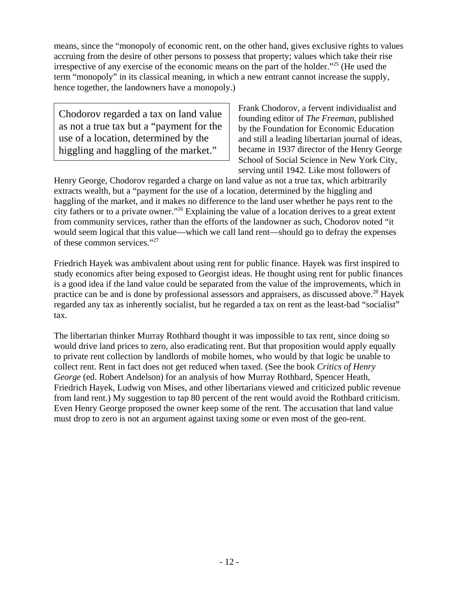means, since the "monopoly of economic rent, on the other hand, gives exclusive rights to values accruing from the desire of other persons to possess that property; values which take their rise irrespective of any exercise of the economic means on the part of the holder."25 (He used the term "monopoly" in its classical meaning, in which a new entrant cannot increase the supply, hence together, the landowners have a monopoly.)

Chodorov regarded a tax on land value as not a true tax but a "payment for the use of a location, determined by the higgling and haggling of the market."

Frank Chodorov, a fervent individualist and founding editor of *The Freeman*, published by the Foundation for Economic Education and still a leading libertarian journal of ideas, became in 1937 director of the Henry George School of Social Science in New York City, serving until 1942. Like most followers of

Henry George, Chodorov regarded a charge on land value as not a true tax, which arbitrarily extracts wealth, but a "payment for the use of a location, determined by the higgling and haggling of the market, and it makes no difference to the land user whether he pays rent to the city fathers or to a private owner."26 Explaining the value of a location derives to a great extent from community services, rather than the efforts of the landowner as such, Chodorov noted "it would seem logical that this value—which we call land rent—should go to defray the expenses of these common services."27

Friedrich Hayek was ambivalent about using rent for public finance. Hayek was first inspired to study economics after being exposed to Georgist ideas. He thought using rent for public finances is a good idea if the land value could be separated from the value of the improvements, which in practice can be and is done by professional assessors and appraisers, as discussed above.28 Hayek regarded any tax as inherently socialist, but he regarded a tax on rent as the least-bad "socialist" tax.

The libertarian thinker Murray Rothbard thought it was impossible to tax rent, since doing so would drive land prices to zero, also eradicating rent. But that proposition would apply equally to private rent collection by landlords of mobile homes, who would by that logic be unable to collect rent. Rent in fact does not get reduced when taxed. (See the book *Critics of Henry George* (ed. Robert Andelson) for an analysis of how Murray Rothbard, Spencer Heath, Friedrich Hayek, Ludwig von Mises, and other libertarians viewed and criticized public revenue from land rent.) My suggestion to tap 80 percent of the rent would avoid the Rothbard criticism. Even Henry George proposed the owner keep some of the rent. The accusation that land value must drop to zero is not an argument against taxing some or even most of the geo-rent.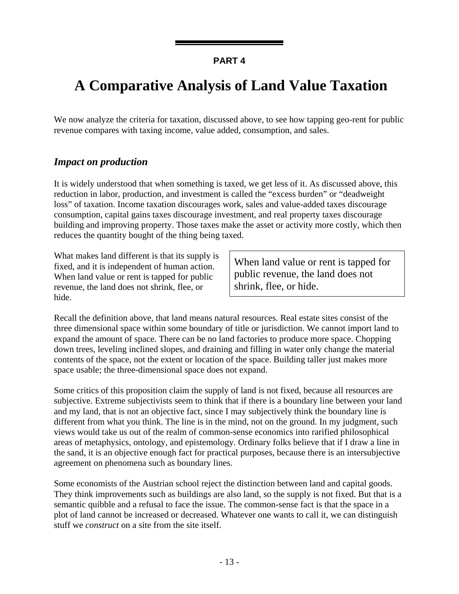## **A Comparative Analysis of Land Value Taxation**

We now analyze the criteria for taxation, discussed above, to see how tapping geo-rent for public revenue compares with taxing income, value added, consumption, and sales.

#### *Impact on production*

It is widely understood that when something is taxed, we get less of it. As discussed above, this reduction in labor, production, and investment is called the "excess burden" or "deadweight loss" of taxation. Income taxation discourages work, sales and value-added taxes discourage consumption, capital gains taxes discourage investment, and real property taxes discourage building and improving property. Those taxes make the asset or activity more costly, which then reduces the quantity bought of the thing being taxed.

What makes land different is that its supply is fixed, and it is independent of human action. When land value or rent is tapped for public revenue, the land does not shrink, flee, or hide.

When land value or rent is tapped for public revenue, the land does not shrink, flee, or hide.

Recall the definition above, that land means natural resources. Real estate sites consist of the three dimensional space within some boundary of title or jurisdiction. We cannot import land to expand the amount of space. There can be no land factories to produce more space. Chopping down trees, leveling inclined slopes, and draining and filling in water only change the material contents of the space, not the extent or location of the space. Building taller just makes more space usable; the three-dimensional space does not expand.

Some critics of this proposition claim the supply of land is not fixed, because all resources are subjective. Extreme subjectivists seem to think that if there is a boundary line between your land and my land, that is not an objective fact, since I may subjectively think the boundary line is different from what you think. The line is in the mind, not on the ground. In my judgment, such views would take us out of the realm of common-sense economics into rarified philosophical areas of metaphysics, ontology, and epistemology. Ordinary folks believe that if I draw a line in the sand, it is an objective enough fact for practical purposes, because there is an intersubjective agreement on phenomena such as boundary lines.

Some economists of the Austrian school reject the distinction between land and capital goods. They think improvements such as buildings are also land, so the supply is not fixed. But that is a semantic quibble and a refusal to face the issue. The common-sense fact is that the space in a plot of land cannot be increased or decreased. Whatever one wants to call it, we can distinguish stuff we *construct* on a site from the site itself.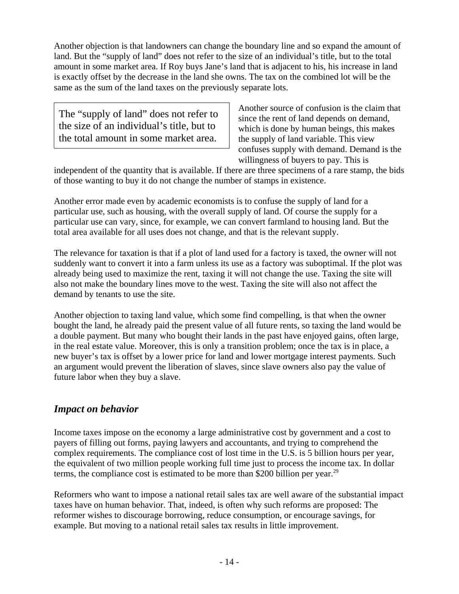Another objection is that landowners can change the boundary line and so expand the amount of land. But the "supply of land" does not refer to the size of an individual's title, but to the total amount in some market area. If Roy buys Jane's land that is adjacent to his, his increase in land is exactly offset by the decrease in the land she owns. The tax on the combined lot will be the same as the sum of the land taxes on the previously separate lots.

The "supply of land" does not refer to the size of an individual's title, but to the total amount in some market area.

Another source of confusion is the claim that since the rent of land depends on demand, which is done by human beings, this makes the supply of land variable. This view confuses supply with demand. Demand is the willingness of buyers to pay. This is

independent of the quantity that is available. If there are three specimens of a rare stamp, the bids of those wanting to buy it do not change the number of stamps in existence.

Another error made even by academic economists is to confuse the supply of land for a particular use, such as housing, with the overall supply of land. Of course the supply for a particular use can vary, since, for example, we can convert farmland to housing land. But the total area available for all uses does not change, and that is the relevant supply.

The relevance for taxation is that if a plot of land used for a factory is taxed, the owner will not suddenly want to convert it into a farm unless its use as a factory was suboptimal. If the plot was already being used to maximize the rent, taxing it will not change the use. Taxing the site will also not make the boundary lines move to the west. Taxing the site will also not affect the demand by tenants to use the site.

Another objection to taxing land value, which some find compelling, is that when the owner bought the land, he already paid the present value of all future rents, so taxing the land would be a double payment. But many who bought their lands in the past have enjoyed gains, often large, in the real estate value. Moreover, this is only a transition problem; once the tax is in place, a new buyer's tax is offset by a lower price for land and lower mortgage interest payments. Such an argument would prevent the liberation of slaves, since slave owners also pay the value of future labor when they buy a slave.

### *Impact on behavior*

Income taxes impose on the economy a large administrative cost by government and a cost to payers of filling out forms, paying lawyers and accountants, and trying to comprehend the complex requirements. The compliance cost of lost time in the U.S. is 5 billion hours per year, the equivalent of two million people working full time just to process the income tax. In dollar terms, the compliance cost is estimated to be more than \$200 billion per year.<sup>29</sup>

Reformers who want to impose a national retail sales tax are well aware of the substantial impact taxes have on human behavior. That, indeed, is often why such reforms are proposed: The reformer wishes to discourage borrowing, reduce consumption, or encourage savings, for example. But moving to a national retail sales tax results in little improvement.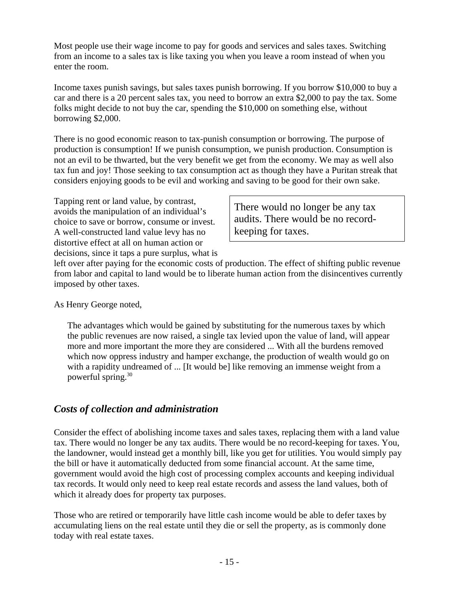Most people use their wage income to pay for goods and services and sales taxes. Switching from an income to a sales tax is like taxing you when you leave a room instead of when you enter the room.

Income taxes punish savings, but sales taxes punish borrowing. If you borrow \$10,000 to buy a car and there is a 20 percent sales tax, you need to borrow an extra \$2,000 to pay the tax. Some folks might decide to not buy the car, spending the \$10,000 on something else, without borrowing \$2,000.

There is no good economic reason to tax-punish consumption or borrowing. The purpose of production is consumption! If we punish consumption, we punish production. Consumption is not an evil to be thwarted, but the very benefit we get from the economy. We may as well also tax fun and joy! Those seeking to tax consumption act as though they have a Puritan streak that considers enjoying goods to be evil and working and saving to be good for their own sake.

Tapping rent or land value, by contrast, avoids the manipulation of an individual's choice to save or borrow, consume or invest. A well-constructed land value levy has no distortive effect at all on human action or decisions, since it taps a pure surplus, what is

There would no longer be any tax audits. There would be no recordkeeping for taxes.

left over after paying for the economic costs of production. The effect of shifting public revenue from labor and capital to land would be to liberate human action from the disincentives currently imposed by other taxes.

As Henry George noted,

The advantages which would be gained by substituting for the numerous taxes by which the public revenues are now raised, a single tax levied upon the value of land, will appear more and more important the more they are considered ... With all the burdens removed which now oppress industry and hamper exchange, the production of wealth would go on with a rapidity undreamed of ... [It would be] like removing an immense weight from a powerful spring. $30$ 

### *Costs of collection and administration*

Consider the effect of abolishing income taxes and sales taxes, replacing them with a land value tax. There would no longer be any tax audits. There would be no record-keeping for taxes. You, the landowner, would instead get a monthly bill, like you get for utilities. You would simply pay the bill or have it automatically deducted from some financial account. At the same time, government would avoid the high cost of processing complex accounts and keeping individual tax records. It would only need to keep real estate records and assess the land values, both of which it already does for property tax purposes.

Those who are retired or temporarily have little cash income would be able to defer taxes by accumulating liens on the real estate until they die or sell the property, as is commonly done today with real estate taxes.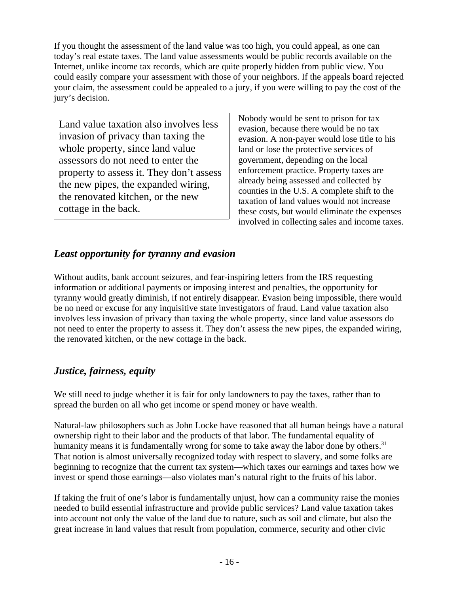If you thought the assessment of the land value was too high, you could appeal, as one can today's real estate taxes. The land value assessments would be public records available on the Internet, unlike income tax records, which are quite properly hidden from public view. You could easily compare your assessment with those of your neighbors. If the appeals board rejected your claim, the assessment could be appealed to a jury, if you were willing to pay the cost of the jury's decision.

Land value taxation also involves less invasion of privacy than taxing the whole property, since land value assessors do not need to enter the property to assess it. They don't assess the new pipes, the expanded wiring, the renovated kitchen, or the new cottage in the back.

Nobody would be sent to prison for tax evasion, because there would be no tax evasion. A non-payer would lose title to his land or lose the protective services of government, depending on the local enforcement practice. Property taxes are already being assessed and collected by counties in the U.S. A complete shift to the taxation of land values would not increase these costs, but would eliminate the expenses involved in collecting sales and income taxes.

## *Least opportunity for tyranny and evasion*

Without audits, bank account seizures, and fear-inspiring letters from the IRS requesting information or additional payments or imposing interest and penalties, the opportunity for tyranny would greatly diminish, if not entirely disappear. Evasion being impossible, there would be no need or excuse for any inquisitive state investigators of fraud. Land value taxation also involves less invasion of privacy than taxing the whole property, since land value assessors do not need to enter the property to assess it. They don't assess the new pipes, the expanded wiring, the renovated kitchen, or the new cottage in the back.

### *Justice, fairness, equity*

We still need to judge whether it is fair for only landowners to pay the taxes, rather than to spread the burden on all who get income or spend money or have wealth.

Natural-law philosophers such as John Locke have reasoned that all human beings have a natural ownership right to their labor and the products of that labor. The fundamental equality of humanity means it is fundamentally wrong for some to take away the labor done by others.<sup>31</sup> That notion is almost universally recognized today with respect to slavery, and some folks are beginning to recognize that the current tax system—which taxes our earnings and taxes how we invest or spend those earnings—also violates man's natural right to the fruits of his labor.

If taking the fruit of one's labor is fundamentally unjust, how can a community raise the monies needed to build essential infrastructure and provide public services? Land value taxation takes into account not only the value of the land due to nature, such as soil and climate, but also the great increase in land values that result from population, commerce, security and other civic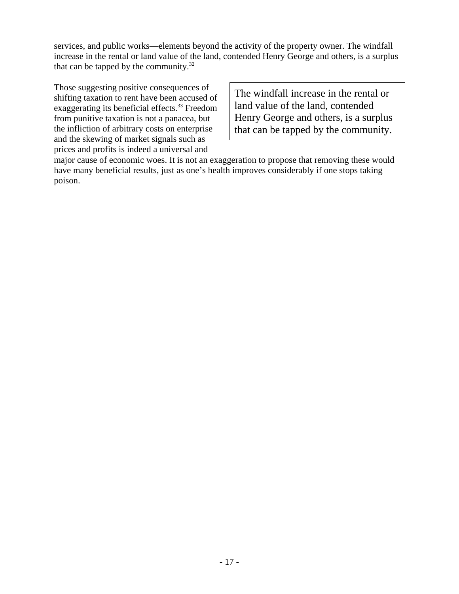services, and public works—elements beyond the activity of the property owner. The windfall increase in the rental or land value of the land, contended Henry George and others, is a surplus that can be tapped by the community. $32$ 

Those suggesting positive consequences of shifting taxation to rent have been accused of exaggerating its beneficial effects.<sup>33</sup> Freedom from punitive taxation is not a panacea, but the infliction of arbitrary costs on enterprise and the skewing of market signals such as prices and profits is indeed a universal and

The windfall increase in the rental or land value of the land, contended Henry George and others, is a surplus that can be tapped by the community.

major cause of economic woes. It is not an exaggeration to propose that removing these would have many beneficial results, just as one's health improves considerably if one stops taking poison.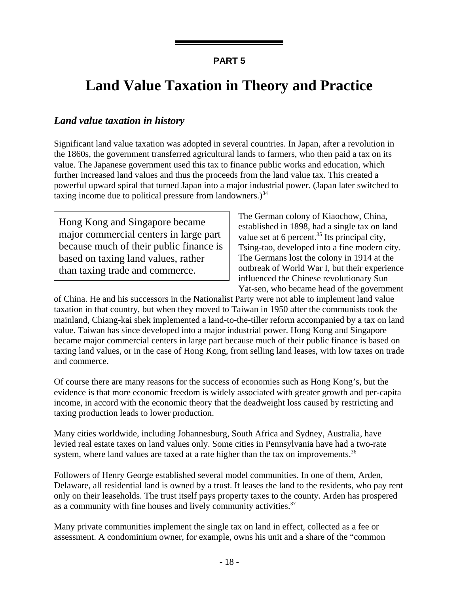## **Land Value Taxation in Theory and Practice**

### *Land value taxation in history*

Significant land value taxation was adopted in several countries. In Japan, after a revolution in the 1860s, the government transferred agricultural lands to farmers, who then paid a tax on its value. The Japanese government used this tax to finance public works and education, which further increased land values and thus the proceeds from the land value tax. This created a powerful upward spiral that turned Japan into a major industrial power. (Japan later switched to taxing income due to political pressure from landowners.) $34$ 

Hong Kong and Singapore became major commercial centers in large part because much of their public finance is based on taxing land values, rather than taxing trade and commerce.

The German colony of Kiaochow, China, established in 1898, had a single tax on land value set at 6 percent. $35$  Its principal city, Tsing-tao, developed into a fine modern city. The Germans lost the colony in 1914 at the outbreak of World War I, but their experience influenced the Chinese revolutionary Sun Yat-sen, who became head of the government

of China. He and his successors in the Nationalist Party were not able to implement land value taxation in that country, but when they moved to Taiwan in 1950 after the communists took the mainland, Chiang-kai shek implemented a land-to-the-tiller reform accompanied by a tax on land value. Taiwan has since developed into a major industrial power. Hong Kong and Singapore became major commercial centers in large part because much of their public finance is based on taxing land values, or in the case of Hong Kong, from selling land leases, with low taxes on trade and commerce.

Of course there are many reasons for the success of economies such as Hong Kong's, but the evidence is that more economic freedom is widely associated with greater growth and per-capita income, in accord with the economic theory that the deadweight loss caused by restricting and taxing production leads to lower production.

Many cities worldwide, including Johannesburg, South Africa and Sydney, Australia, have levied real estate taxes on land values only. Some cities in Pennsylvania have had a two-rate system, where land values are taxed at a rate higher than the tax on improvements.<sup>36</sup>

Followers of Henry George established several model communities. In one of them, Arden, Delaware, all residential land is owned by a trust. It leases the land to the residents, who pay rent only on their leaseholds. The trust itself pays property taxes to the county. Arden has prospered as a community with fine houses and lively community activities.<sup>37</sup>

Many private communities implement the single tax on land in effect, collected as a fee or assessment. A condominium owner, for example, owns his unit and a share of the "common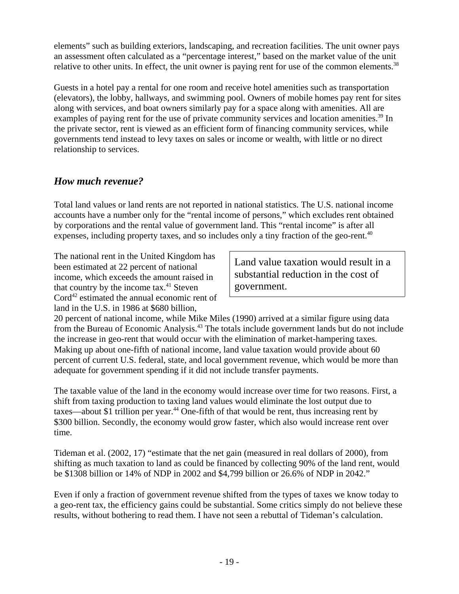elements" such as building exteriors, landscaping, and recreation facilities. The unit owner pays an assessment often calculated as a "percentage interest," based on the market value of the unit relative to other units. In effect, the unit owner is paying rent for use of the common elements.<sup>38</sup>

Guests in a hotel pay a rental for one room and receive hotel amenities such as transportation (elevators), the lobby, hallways, and swimming pool. Owners of mobile homes pay rent for sites along with services, and boat owners similarly pay for a space along with amenities. All are examples of paying rent for the use of private community services and location amenities.<sup>39</sup> In the private sector, rent is viewed as an efficient form of financing community services, while governments tend instead to levy taxes on sales or income or wealth, with little or no direct relationship to services.

### *How much revenue?*

Total land values or land rents are not reported in national statistics. The U.S. national income accounts have a number only for the "rental income of persons," which excludes rent obtained by corporations and the rental value of government land. This "rental income" is after all expenses, including property taxes, and so includes only a tiny fraction of the geo-rent.<sup>40</sup>

The national rent in the United Kingdom has been estimated at 22 percent of national income, which exceeds the amount raised in that country by the income tax. $41$  Steven Cord<sup>42</sup> estimated the annual economic rent of land in the U.S. in 1986 at \$680 billion,

Land value taxation would result in a substantial reduction in the cost of government.

20 percent of national income, while Mike Miles (1990) arrived at a similar figure using data from the Bureau of Economic Analysis.43 The totals include government lands but do not include the increase in geo-rent that would occur with the elimination of market-hampering taxes. Making up about one-fifth of national income, land value taxation would provide about 60 percent of current U.S. federal, state, and local government revenue, which would be more than adequate for government spending if it did not include transfer payments.

The taxable value of the land in the economy would increase over time for two reasons. First, a shift from taxing production to taxing land values would eliminate the lost output due to taxes—about \$1 trillion per year.<sup>44</sup> One-fifth of that would be rent, thus increasing rent by \$300 billion. Secondly, the economy would grow faster, which also would increase rent over time.

Tideman et al. (2002, 17) "estimate that the net gain (measured in real dollars of 2000), from shifting as much taxation to land as could be financed by collecting 90% of the land rent, would be \$1308 billion or 14% of NDP in 2002 and \$4,799 billion or 26.6% of NDP in 2042."

Even if only a fraction of government revenue shifted from the types of taxes we know today to a geo-rent tax, the efficiency gains could be substantial. Some critics simply do not believe these results, without bothering to read them. I have not seen a rebuttal of Tideman's calculation.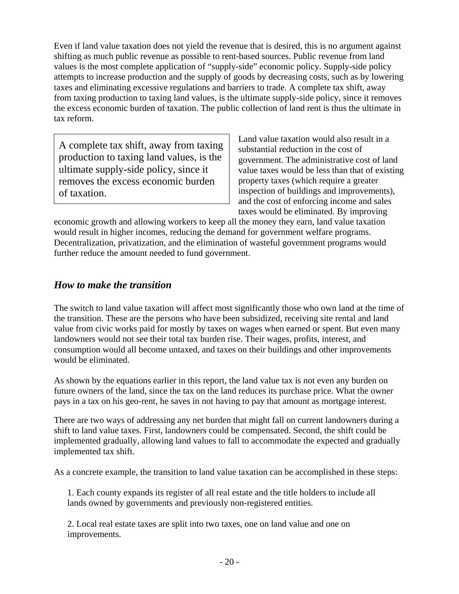Even if land value taxation does not yield the revenue that is desired, this is no argument against shifting as much public revenue as possible to rent-based sources. Public revenue from land values is the most complete application of "supply-side" economic policy. Supply-side policy attempts to increase production and the supply of goods by decreasing costs, such as by lowering taxes and eliminating excessive regulations and barriers to trade. A complete tax shift, away from taxing production to taxing land values, is the ultimate supply-side policy, since it removes the excess economic burden of taxation. The public collection of land rent is thus the ultimate in tax reform.

A complete tax shift, away from taxing production to taxing land values, is the ultimate supply-side policy, since it removes the excess economic burden of taxation.

Land value taxation would also result in a substantial reduction in the cost of government. The administrative cost of land value taxes would be less than that of existing property taxes (which require a greater inspection of buildings and improvements), and the cost of enforcing income and sales taxes would be eliminated. By improving

economic growth and allowing workers to keep all the money they earn, land value taxation would result in higher incomes, reducing the demand for government welfare programs. Decentralization, privatization, and the elimination of wasteful government programs would further reduce the amount needed to fund government.

### *How to make the transition*

The switch to land value taxation will affect most significantly those who own land at the time of the transition. These are the persons who have been subsidized, receiving site rental and land value from civic works paid for mostly by taxes on wages when earned or spent. But even many landowners would not see their total tax burden rise. Their wages, profits, interest, and consumption would all become untaxed, and taxes on their buildings and other improvements would be eliminated.

As shown by the equations earlier in this report, the land value tax is not even any burden on future owners of the land, since the tax on the land reduces its purchase price. What the owner pays in a tax on his geo-rent, he saves in not having to pay that amount as mortgage interest.

There are two ways of addressing any net burden that might fall on current landowners during a shift to land value taxes. First, landowners could be compensated. Second, the shift could be implemented gradually, allowing land values to fall to accommodate the expected and gradually implemented tax shift.

As a concrete example, the transition to land value taxation can be accomplished in these steps:

1. Each county expands its register of all real estate and the title holders to include all lands owned by governments and previously non-registered entities.

2. Local real estate taxes are split into two taxes, one on land value and one on improvements.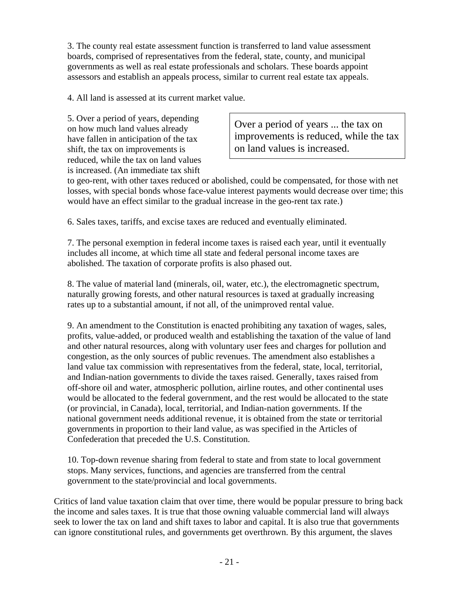3. The county real estate assessment function is transferred to land value assessment boards, comprised of representatives from the federal, state, county, and municipal governments as well as real estate professionals and scholars. These boards appoint assessors and establish an appeals process, similar to current real estate tax appeals.

4. All land is assessed at its current market value.

5. Over a period of years, depending on how much land values already have fallen in anticipation of the tax shift, the tax on improvements is reduced, while the tax on land values is increased. (An immediate tax shift

Over a period of years ... the tax on improvements is reduced, while the tax on land values is increased.

to geo-rent, with other taxes reduced or abolished, could be compensated, for those with net losses, with special bonds whose face-value interest payments would decrease over time; this would have an effect similar to the gradual increase in the geo-rent tax rate.)

6. Sales taxes, tariffs, and excise taxes are reduced and eventually eliminated.

7. The personal exemption in federal income taxes is raised each year, until it eventually includes all income, at which time all state and federal personal income taxes are abolished. The taxation of corporate profits is also phased out.

8. The value of material land (minerals, oil, water, etc.), the electromagnetic spectrum, naturally growing forests, and other natural resources is taxed at gradually increasing rates up to a substantial amount, if not all, of the unimproved rental value.

9. An amendment to the Constitution is enacted prohibiting any taxation of wages, sales, profits, value-added, or produced wealth and establishing the taxation of the value of land and other natural resources, along with voluntary user fees and charges for pollution and congestion, as the only sources of public revenues. The amendment also establishes a land value tax commission with representatives from the federal, state, local, territorial, and Indian-nation governments to divide the taxes raised. Generally, taxes raised from off-shore oil and water, atmospheric pollution, airline routes, and other continental uses would be allocated to the federal government, and the rest would be allocated to the state (or provincial, in Canada), local, territorial, and Indian-nation governments. If the national government needs additional revenue, it is obtained from the state or territorial governments in proportion to their land value, as was specified in the Articles of Confederation that preceded the U.S. Constitution.

10. Top-down revenue sharing from federal to state and from state to local government stops. Many services, functions, and agencies are transferred from the central government to the state/provincial and local governments.

Critics of land value taxation claim that over time, there would be popular pressure to bring back the income and sales taxes. It is true that those owning valuable commercial land will always seek to lower the tax on land and shift taxes to labor and capital. It is also true that governments can ignore constitutional rules, and governments get overthrown. By this argument, the slaves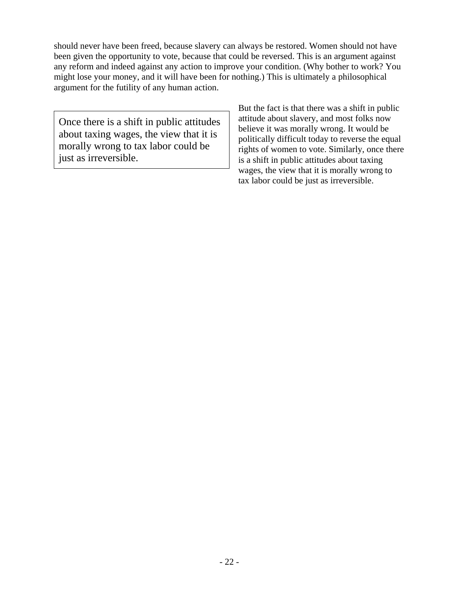should never have been freed, because slavery can always be restored. Women should not have been given the opportunity to vote, because that could be reversed. This is an argument against any reform and indeed against any action to improve your condition. (Why bother to work? You might lose your money, and it will have been for nothing.) This is ultimately a philosophical argument for the futility of any human action.

Once there is a shift in public attitudes about taxing wages, the view that it is morally wrong to tax labor could be just as irreversible.

But the fact is that there was a shift in public attitude about slavery, and most folks now believe it was morally wrong. It would be politically difficult today to reverse the equal rights of women to vote. Similarly, once there is a shift in public attitudes about taxing wages, the view that it is morally wrong to tax labor could be just as irreversible.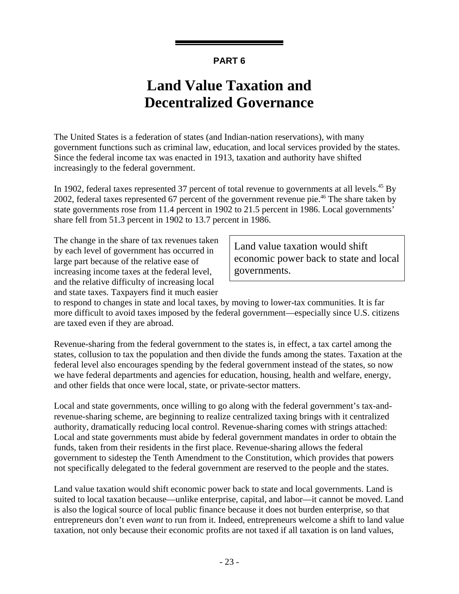## **Land Value Taxation and Decentralized Governance**

The United States is a federation of states (and Indian-nation reservations), with many government functions such as criminal law, education, and local services provided by the states. Since the federal income tax was enacted in 1913, taxation and authority have shifted increasingly to the federal government.

In 1902, federal taxes represented 37 percent of total revenue to governments at all levels.<sup>45</sup> By 2002, federal taxes represented 67 percent of the government revenue pie.<sup>46</sup> The share taken by state governments rose from 11.4 percent in 1902 to 21.5 percent in 1986. Local governments' share fell from 51.3 percent in 1902 to 13.7 percent in 1986.

The change in the share of tax revenues taken by each level of government has occurred in large part because of the relative ease of increasing income taxes at the federal level, and the relative difficulty of increasing local and state taxes. Taxpayers find it much easier

Land value taxation would shift economic power back to state and local governments.

to respond to changes in state and local taxes, by moving to lower-tax communities. It is far more difficult to avoid taxes imposed by the federal government—especially since U.S. citizens are taxed even if they are abroad.

Revenue-sharing from the federal government to the states is, in effect, a tax cartel among the states, collusion to tax the population and then divide the funds among the states. Taxation at the federal level also encourages spending by the federal government instead of the states, so now we have federal departments and agencies for education, housing, health and welfare, energy, and other fields that once were local, state, or private-sector matters.

Local and state governments, once willing to go along with the federal government's tax-andrevenue-sharing scheme, are beginning to realize centralized taxing brings with it centralized authority, dramatically reducing local control. Revenue-sharing comes with strings attached: Local and state governments must abide by federal government mandates in order to obtain the funds, taken from their residents in the first place. Revenue-sharing allows the federal government to sidestep the Tenth Amendment to the Constitution, which provides that powers not specifically delegated to the federal government are reserved to the people and the states.

Land value taxation would shift economic power back to state and local governments. Land is suited to local taxation because—unlike enterprise, capital, and labor—it cannot be moved. Land is also the logical source of local public finance because it does not burden enterprise, so that entrepreneurs don't even *want* to run from it. Indeed, entrepreneurs welcome a shift to land value taxation, not only because their economic profits are not taxed if all taxation is on land values,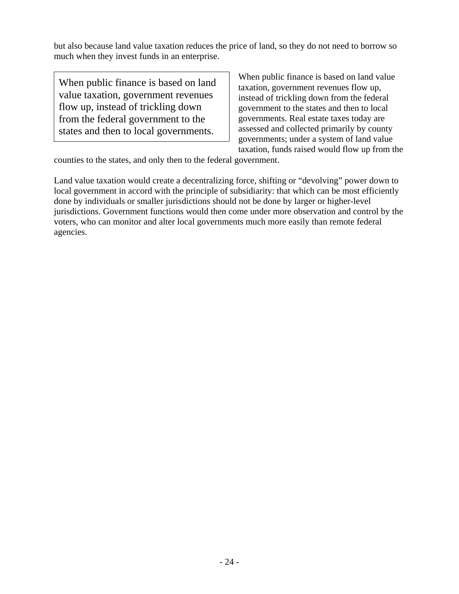but also because land value taxation reduces the price of land, so they do not need to borrow so much when they invest funds in an enterprise.

When public finance is based on land value taxation, government revenues flow up, instead of trickling down from the federal government to the states and then to local governments.

When public finance is based on land value taxation, government revenues flow up, instead of trickling down from the federal government to the states and then to local governments. Real estate taxes today are assessed and collected primarily by county governments; under a system of land value taxation, funds raised would flow up from the

counties to the states, and only then to the federal government.

Land value taxation would create a decentralizing force, shifting or "devolving" power down to local government in accord with the principle of subsidiarity: that which can be most efficiently done by individuals or smaller jurisdictions should not be done by larger or higher-level jurisdictions. Government functions would then come under more observation and control by the voters, who can monitor and alter local governments much more easily than remote federal agencies.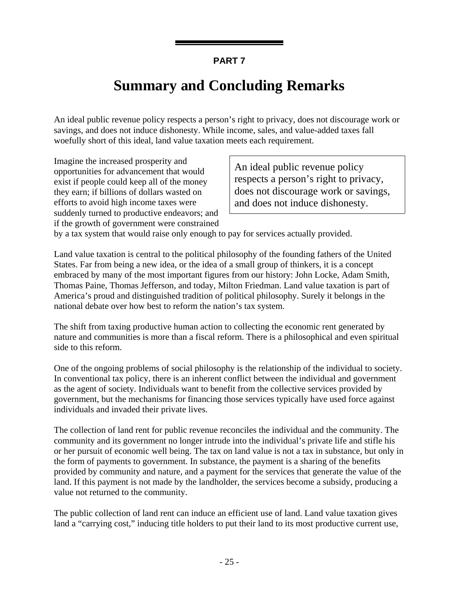## **Summary and Concluding Remarks**

An ideal public revenue policy respects a person's right to privacy, does not discourage work or savings, and does not induce dishonesty. While income, sales, and value-added taxes fall woefully short of this ideal, land value taxation meets each requirement.

Imagine the increased prosperity and opportunities for advancement that would exist if people could keep all of the money they earn; if billions of dollars wasted on efforts to avoid high income taxes were suddenly turned to productive endeavors; and if the growth of government were constrained

An ideal public revenue policy respects a person's right to privacy, does not discourage work or savings, and does not induce dishonesty.

by a tax system that would raise only enough to pay for services actually provided.

Land value taxation is central to the political philosophy of the founding fathers of the United States. Far from being a new idea, or the idea of a small group of thinkers, it is a concept embraced by many of the most important figures from our history: John Locke, Adam Smith, Thomas Paine, Thomas Jefferson, and today, Milton Friedman. Land value taxation is part of America's proud and distinguished tradition of political philosophy. Surely it belongs in the national debate over how best to reform the nation's tax system.

The shift from taxing productive human action to collecting the economic rent generated by nature and communities is more than a fiscal reform. There is a philosophical and even spiritual side to this reform.

One of the ongoing problems of social philosophy is the relationship of the individual to society. In conventional tax policy, there is an inherent conflict between the individual and government as the agent of society. Individuals want to benefit from the collective services provided by government, but the mechanisms for financing those services typically have used force against individuals and invaded their private lives.

The collection of land rent for public revenue reconciles the individual and the community. The community and its government no longer intrude into the individual's private life and stifle his or her pursuit of economic well being. The tax on land value is not a tax in substance, but only in the form of payments to government. In substance, the payment is a sharing of the benefits provided by community and nature, and a payment for the services that generate the value of the land. If this payment is not made by the landholder, the services become a subsidy, producing a value not returned to the community.

The public collection of land rent can induce an efficient use of land. Land value taxation gives land a "carrying cost," inducing title holders to put their land to its most productive current use,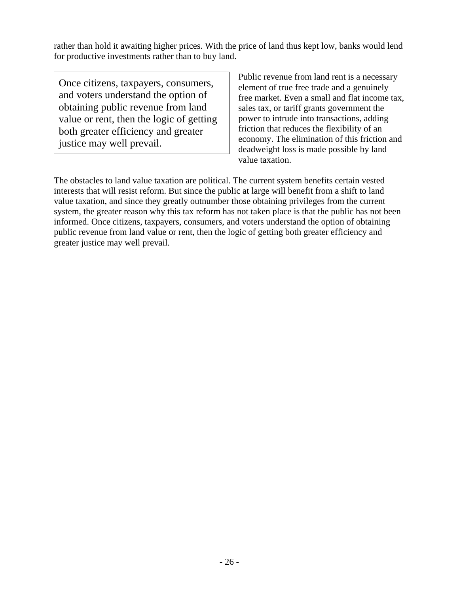rather than hold it awaiting higher prices. With the price of land thus kept low, banks would lend for productive investments rather than to buy land.

Once citizens, taxpayers, consumers, and voters understand the option of obtaining public revenue from land value or rent, then the logic of getting both greater efficiency and greater justice may well prevail.

Public revenue from land rent is a necessary element of true free trade and a genuinely free market. Even a small and flat income tax, sales tax, or tariff grants government the power to intrude into transactions, adding friction that reduces the flexibility of an economy. The elimination of this friction and deadweight loss is made possible by land value taxation.

The obstacles to land value taxation are political. The current system benefits certain vested interests that will resist reform. But since the public at large will benefit from a shift to land value taxation, and since they greatly outnumber those obtaining privileges from the current system, the greater reason why this tax reform has not taken place is that the public has not been informed. Once citizens, taxpayers, consumers, and voters understand the option of obtaining public revenue from land value or rent, then the logic of getting both greater efficiency and greater justice may well prevail.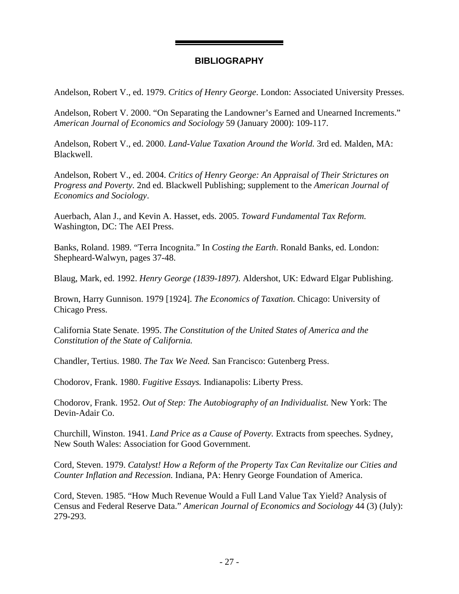#### **BIBLIOGRAPHY**

Andelson, Robert V., ed. 1979. *Critics of Henry George*. London: Associated University Presses.

Andelson, Robert V. 2000. "On Separating the Landowner's Earned and Unearned Increments." *American Journal of Economics and Sociology* 59 (January 2000): 109-117.

Andelson, Robert V., ed. 2000. *Land-Value Taxation Around the World.* 3rd ed. Malden, MA: Blackwell.

Andelson, Robert V., ed. 2004. *Critics of Henry George: An Appraisal of Their Strictures on Progress and Poverty.* 2nd ed. Blackwell Publishing; supplement to the *American Journal of Economics and Sociology*.

Auerbach, Alan J., and Kevin A. Hasset, eds. 2005. *Toward Fundamental Tax Reform.* Washington, DC: The AEI Press.

Banks, Roland. 1989. "Terra Incognita." In *Costing the Earth*. Ronald Banks, ed. London: Shepheard-Walwyn, pages 37-48.

Blaug, Mark, ed. 1992. *Henry George (1839-1897)*. Aldershot, UK: Edward Elgar Publishing.

Brown, Harry Gunnison. 1979 [1924]. *The Economics of Taxation.* Chicago: University of Chicago Press.

California State Senate. 1995. *The Constitution of the United States of America and the Constitution of the State of California.*

Chandler, Tertius. 1980. *The Tax We Need.* San Francisco: Gutenberg Press.

Chodorov, Frank. 1980. *Fugitive Essays.* Indianapolis: Liberty Press.

Chodorov, Frank. 1952. *Out of Step: The Autobiography of an Individualist.* New York: The Devin-Adair Co.

Churchill, Winston. 1941. *Land Price as a Cause of Poverty.* Extracts from speeches. Sydney, New South Wales: Association for Good Government.

Cord, Steven. 1979. *Catalyst! How a Reform of the Property Tax Can Revitalize our Cities and Counter Inflation and Recession.* Indiana, PA: Henry George Foundation of America.

Cord, Steven. 1985. "How Much Revenue Would a Full Land Value Tax Yield? Analysis of Census and Federal Reserve Data." *American Journal of Economics and Sociology* 44 (3) (July): 279-293.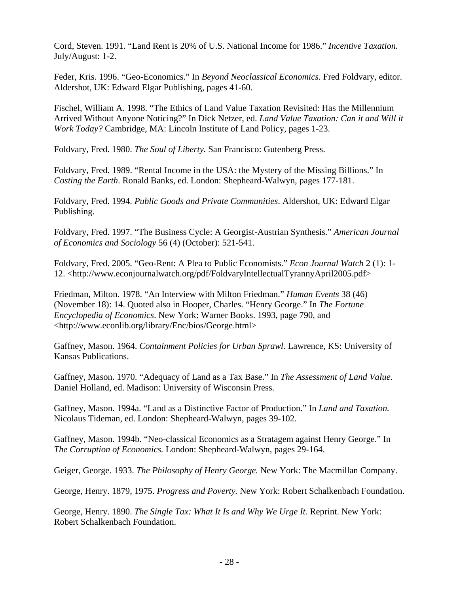Cord, Steven. 1991. "Land Rent is 20% of U.S. National Income for 1986." *Incentive Taxation.* July/August: 1-2.

Feder, Kris. 1996. "Geo-Economics." In *Beyond Neoclassical Economics*. Fred Foldvary, editor. Aldershot, UK: Edward Elgar Publishing, pages 41-60.

Fischel, William A. 1998. "The Ethics of Land Value Taxation Revisited: Has the Millennium Arrived Without Anyone Noticing?" In Dick Netzer, ed. *Land Value Taxation: Can it and Will it Work Today?* Cambridge, MA: Lincoln Institute of Land Policy, pages 1-23.

Foldvary, Fred. 1980. *The Soul of Liberty.* San Francisco: Gutenberg Press.

Foldvary, Fred. 1989. "Rental Income in the USA: the Mystery of the Missing Billions." In *Costing the Earth*. Ronald Banks, ed. London: Shepheard-Walwyn, pages 177-181.

Foldvary, Fred. 1994. *Public Goods and Private Communities*. Aldershot, UK: Edward Elgar Publishing.

Foldvary, Fred. 1997. "The Business Cycle: A Georgist-Austrian Synthesis." *American Journal of Economics and Sociology* 56 (4) (October): 521-541.

Foldvary, Fred. 2005. "Geo-Rent: A Plea to Public Economists." *Econ Journal Watch* 2 (1): 1- 12. <http://www.econjournalwatch.org/pdf/FoldvaryIntellectualTyrannyApril2005.pdf>

Friedman, Milton. 1978. "An Interview with Milton Friedman." *Human Events* 38 (46) (November 18): 14. Quoted also in Hooper, Charles. "Henry George." In *The Fortune Encyclopedia of Economics*. New York: Warner Books. 1993, page 790, and <http://www.econlib.org/library/Enc/bios/George.html>

Gaffney, Mason. 1964. *Containment Policies for Urban Sprawl.* Lawrence, KS: University of Kansas Publications.

Gaffney, Mason. 1970. "Adequacy of Land as a Tax Base." In *The Assessment of Land Value.* Daniel Holland, ed. Madison: University of Wisconsin Press.

Gaffney, Mason. 1994a. "Land as a Distinctive Factor of Production." In *Land and Taxation.* Nicolaus Tideman, ed. London: Shepheard-Walwyn, pages 39-102.

Gaffney, Mason. 1994b. "Neo-classical Economics as a Stratagem against Henry George." In *The Corruption of Economics.* London: Shepheard-Walwyn, pages 29-164.

Geiger, George. 1933. *The Philosophy of Henry George.* New York: The Macmillan Company.

George, Henry. 1879, 1975. *Progress and Poverty.* New York: Robert Schalkenbach Foundation.

George, Henry. 1890. *The Single Tax: What It Is and Why We Urge It.* Reprint. New York: Robert Schalkenbach Foundation.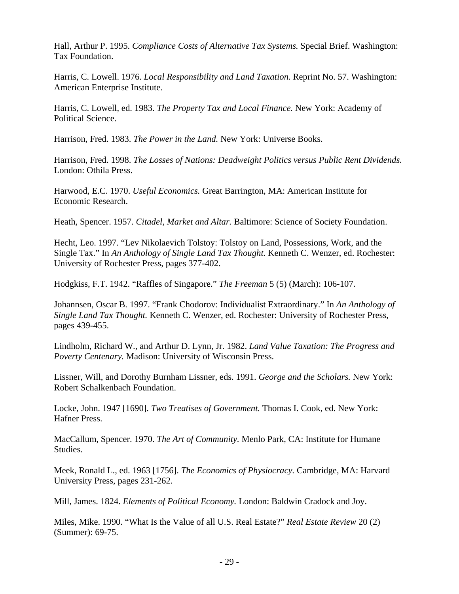Hall, Arthur P. 1995. *Compliance Costs of Alternative Tax Systems.* Special Brief. Washington: Tax Foundation.

Harris, C. Lowell. 1976. *Local Responsibility and Land Taxation.* Reprint No. 57. Washington: American Enterprise Institute.

Harris, C. Lowell, ed. 1983. *The Property Tax and Local Finance.* New York: Academy of Political Science.

Harrison, Fred. 1983. *The Power in the Land.* New York: Universe Books.

Harrison, Fred. 1998. *The Losses of Nations: Deadweight Politics versus Public Rent Dividends.* London: Othila Press.

Harwood, E.C. 1970. *Useful Economics.* Great Barrington, MA: American Institute for Economic Research.

Heath, Spencer. 1957. *Citadel, Market and Altar.* Baltimore: Science of Society Foundation.

Hecht, Leo. 1997. "Lev Nikolaevich Tolstoy: Tolstoy on Land, Possessions, Work, and the Single Tax." In *An Anthology of Single Land Tax Thought.* Kenneth C. Wenzer, ed. Rochester: University of Rochester Press, pages 377-402.

Hodgkiss, F.T. 1942. "Raffles of Singapore." *The Freeman* 5 (5) (March): 106-107.

Johannsen, Oscar B. 1997. "Frank Chodorov: Individualist Extraordinary." In *An Anthology of Single Land Tax Thought.* Kenneth C. Wenzer, ed. Rochester: University of Rochester Press, pages 439-455.

Lindholm, Richard W., and Arthur D. Lynn, Jr. 1982. *Land Value Taxation: The Progress and Poverty Centenary.* Madison: University of Wisconsin Press.

Lissner, Will, and Dorothy Burnham Lissner, eds. 1991. *George and the Scholars.* New York: Robert Schalkenbach Foundation.

Locke, John. 1947 [1690]. *Two Treatises of Government.* Thomas I. Cook, ed. New York: Hafner Press.

MacCallum, Spencer. 1970. *The Art of Community.* Menlo Park, CA: Institute for Humane Studies.

Meek, Ronald L., ed. 1963 [1756]. *The Economics of Physiocracy.* Cambridge, MA: Harvard University Press, pages 231-262.

Mill, James. 1824. *Elements of Political Economy.* London: Baldwin Cradock and Joy.

Miles, Mike. 1990. "What Is the Value of all U.S. Real Estate?" *Real Estate Review* 20 (2) (Summer): 69-75.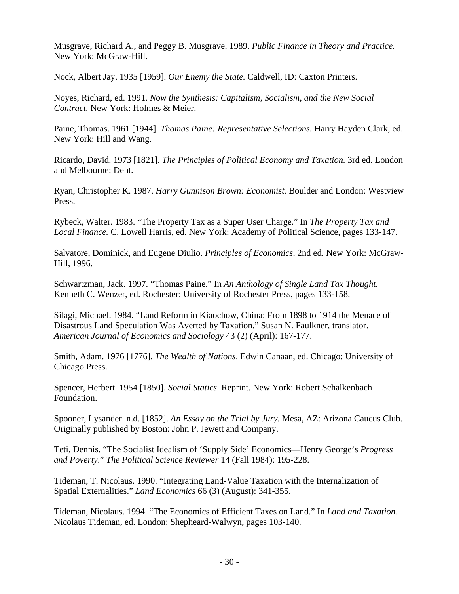Musgrave, Richard A., and Peggy B. Musgrave. 1989. *Public Finance in Theory and Practice.* New York: McGraw-Hill.

Nock, Albert Jay. 1935 [1959]. *Our Enemy the State.* Caldwell, ID: Caxton Printers.

Noyes, Richard, ed. 1991. *Now the Synthesis: Capitalism, Socialism, and the New Social Contract.* New York: Holmes & Meier.

Paine, Thomas. 1961 [1944]. *Thomas Paine: Representative Selections.* Harry Hayden Clark, ed. New York: Hill and Wang.

Ricardo, David. 1973 [1821]. *The Principles of Political Economy and Taxation.* 3rd ed. London and Melbourne: Dent.

Ryan, Christopher K. 1987. *Harry Gunnison Brown: Economist.* Boulder and London: Westview Press.

Rybeck, Walter. 1983. "The Property Tax as a Super User Charge." In *The Property Tax and Local Finance.* C. Lowell Harris, ed. New York: Academy of Political Science, pages 133-147.

Salvatore, Dominick, and Eugene Diulio. *Principles of Economics*. 2nd ed. New York: McGraw-Hill, 1996.

Schwartzman, Jack. 1997. "Thomas Paine." In *An Anthology of Single Land Tax Thought.* Kenneth C. Wenzer, ed. Rochester: University of Rochester Press, pages 133-158.

Silagi, Michael. 1984. "Land Reform in Kiaochow, China: From 1898 to 1914 the Menace of Disastrous Land Speculation Was Averted by Taxation." Susan N. Faulkner, translator. *American Journal of Economics and Sociology* 43 (2) (April): 167-177.

Smith, Adam. 1976 [1776]. *The Wealth of Nations*. Edwin Canaan, ed. Chicago: University of Chicago Press.

Spencer, Herbert. 1954 [1850]. *Social Statics*. Reprint. New York: Robert Schalkenbach Foundation.

Spooner, Lysander. n.d. [1852]. *An Essay on the Trial by Jury.* Mesa, AZ: Arizona Caucus Club. Originally published by Boston: John P. Jewett and Company.

Teti, Dennis. "The Socialist Idealism of 'Supply Side' Economics—Henry George's *Progress and Poverty*." *The Political Science Reviewer* 14 (Fall 1984): 195-228.

Tideman, T. Nicolaus. 1990. "Integrating Land-Value Taxation with the Internalization of Spatial Externalities." *Land Economics* 66 (3) (August): 341-355.

Tideman, Nicolaus. 1994. "The Economics of Efficient Taxes on Land." In *Land and Taxation.* Nicolaus Tideman, ed. London: Shepheard-Walwyn, pages 103-140.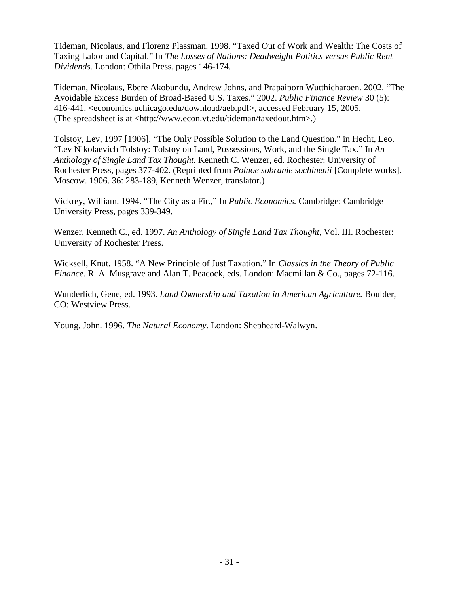Tideman, Nicolaus, and Florenz Plassman. 1998. "Taxed Out of Work and Wealth: The Costs of Taxing Labor and Capital." In *The Losses of Nations: Deadweight Politics versus Public Rent Dividends.* London: Othila Press, pages 146-174.

Tideman, Nicolaus, Ebere Akobundu, Andrew Johns, and Prapaiporn Wutthicharoen. 2002. "The Avoidable Excess Burden of Broad-Based U.S. Taxes." 2002. *Public Finance Review* 30 (5): 416-441. <economics.uchicago.edu/download/aeb.pdf>, accessed February 15, 2005. (The spreadsheet is at <http://www.econ.vt.edu/tideman/taxedout.htm>.)

Tolstoy, Lev, 1997 [1906]. "The Only Possible Solution to the Land Question." in Hecht, Leo. "Lev Nikolaevich Tolstoy: Tolstoy on Land, Possessions, Work, and the Single Tax." In *An Anthology of Single Land Tax Thought.* Kenneth C. Wenzer, ed. Rochester: University of Rochester Press, pages 377-402. (Reprinted from *Polnoe sobranie sochinenii* [Complete works]. Moscow. 1906. 36: 283-189, Kenneth Wenzer, translator.)

Vickrey, William. 1994. "The City as a Fir.," In *Public Economics.* Cambridge: Cambridge University Press, pages 339-349.

Wenzer, Kenneth C., ed. 1997. *An Anthology of Single Land Tax Thought,* Vol. III. Rochester: University of Rochester Press.

Wicksell, Knut. 1958. "A New Principle of Just Taxation." In *Classics in the Theory of Public Finance.* R. A. Musgrave and Alan T. Peacock, eds. London: Macmillan & Co., pages 72-116.

Wunderlich, Gene, ed. 1993. *Land Ownership and Taxation in American Agriculture.* Boulder, CO: Westview Press.

Young, John. 1996. *The Natural Economy.* London: Shepheard-Walwyn.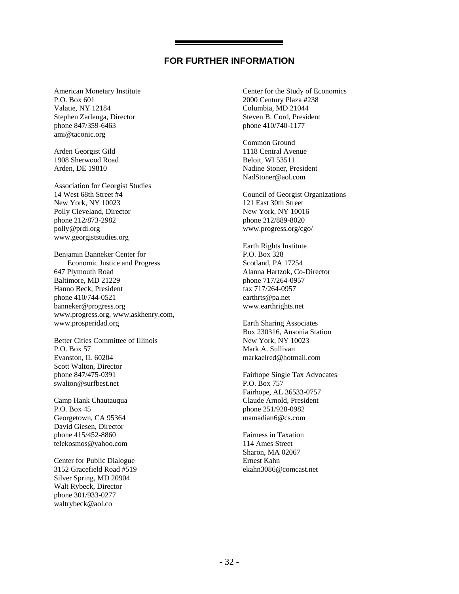#### **FOR FURTHER INFORMATION**

American Monetary Institute P.O. Box 601 Valatie, NY 12184 Stephen Zarlenga, Director phone 847/359-6463 ami@taconic.org

Arden Georgist Gild 1908 Sherwood Road Arden, DE 19810

Association for Georgist Studies 14 West 68th Street #4 New York, NY 10023 Polly Cleveland, Director phone 212/873-2982 polly@prdi.org www.georgiststudies.org

Benjamin Banneker Center for Economic Justice and Progress 647 Plymouth Road Baltimore, MD 21229 Hanno Beck, President phone 410/744-0521 banneker@progress.org www.progress.org, www.askhenry.com, www.prosperidad.org

Better Cities Committee of Illinois P.O. Box 57 Evanston, IL 60204 Scott Walton, Director phone 847/475-0391 swalton@surfbest.net

Camp Hank Chautauqua P.O. Box 45 Georgetown, CA 95364 David Giesen, Director phone 415/452-8860 telekosmos@yahoo.com

Center for Public Dialogue 3152 Gracefield Road #519 Silver Spring, MD 20904 Walt Rybeck, Director phone 301/933-0277 waltrybeck@aol.co

Center for the Study of Economics 2000 Century Plaza #238 Columbia, MD 21044 Steven B. Cord, President phone 410/740-1177

Common Ground 1118 Central Avenue Beloit, WI 53511 Nadine Stoner, President NadStoner@aol.com

Council of Georgist Organizations 121 East 30th Street New York, NY 10016 phone 212/889-8020 www.progress.org/cgo/

Earth Rights Institute P.O. Box 328 Scotland, PA 17254 Alanna Hartzok, Co-Director phone 717/264-0957 fax 717/264-0957 earthrts@pa.net www.earthrights.net

Earth Sharing Associates Box 230316, Ansonia Station New York, NY 10023 Mark A. Sullivan markaelred@hotmail.com

Fairhope Single Tax Advocates P.O. Box 757 Fairhope, AL 36533-0757 Claude Arnold, President phone 251/928-0982 mamadian6@cs.com

Fairness in Taxation 114 Ames Street Sharon, MA 02067 Ernest Kahn ekahn3086@comcast.net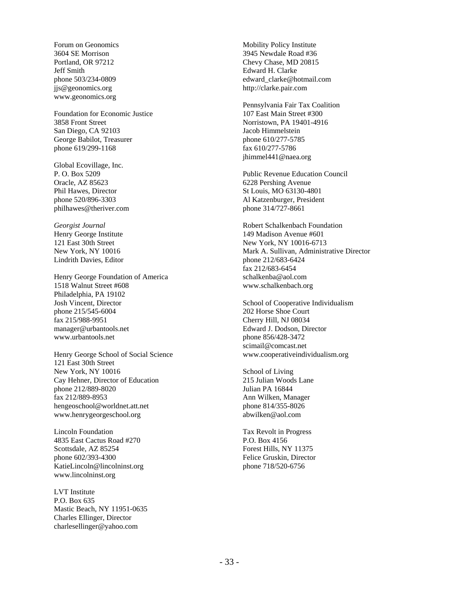Forum on Geonomics 3604 SE Morrison Portland, OR 97212 Jeff Smith phone 503/234-0809 jjs@geonomics.org www.geonomics.org

Foundation for Economic Justice 3858 Front Street San Diego, CA 92103 George Babilot, Treasurer phone 619/299-1168

Global Ecovillage, Inc. P. O. Box 5209 Oracle, AZ 85623 Phil Hawes, Director phone 520/896-3303 philhawes@theriver.com

*Georgist Journal* Henry George Institute 121 East 30th Street New York, NY 10016 Lindrith Davies, Editor

Henry George Foundation of America 1518 Walnut Street #608 Philadelphia, PA 19102 Josh Vincent, Director phone 215/545-6004 fax 215/988-9951 manager@urbantools.net www.urbantools.net

Henry George School of Social Science 121 East 30th Street New York, NY 10016 Cay Hehner, Director of Education phone 212/889-8020 fax 212/889-8953 hengeoschool@worldnet.att.net www.henrygeorgeschool.org

Lincoln Foundation 4835 East Cactus Road #270 Scottsdale, AZ 85254 phone 602/393-4300 KatieLincoln@lincolninst.org www.lincolninst.org

LVT Institute P.O. Box 635 Mastic Beach, NY 11951-0635 Charles Ellinger, Director charlesellinger@yahoo.com

Mobility Policy Institute 3945 Newdale Road #36 Chevy Chase, MD 20815 Edward H. Clarke edward\_clarke@hotmail.com http://clarke.pair.com

Pennsylvania Fair Tax Coalition 107 East Main Street #300 Norristown, PA 19401-4916 Jacob Himmelstein phone 610/277-5785 fax 610/277-5786 jhimmel441@naea.org

Public Revenue Education Council 6228 Pershing Avenue St Louis, MO 63130-4801 Al Katzenburger, President phone 314/727-8661

Robert Schalkenbach Foundation 149 Madison Avenue #601 New York, NY 10016-6713 Mark A. Sullivan, Administrative Director phone 212/683-6424 fax 212/683-6454 schalkenba@aol.com www.schalkenbach.org

School of Cooperative Individualism 202 Horse Shoe Court Cherry Hill, NJ 08034 Edward J. Dodson, Director phone 856/428-3472 scimail@comcast.net www.cooperativeindividualism.org

School of Living 215 Julian Woods Lane Julian PA 16844 Ann Wilken, Manager phone 814/355-8026 abwilken@aol.com

Tax Revolt in Progress P.O. Box 4156 Forest Hills, NY 11375 Felice Gruskin, Director phone 718/520-6756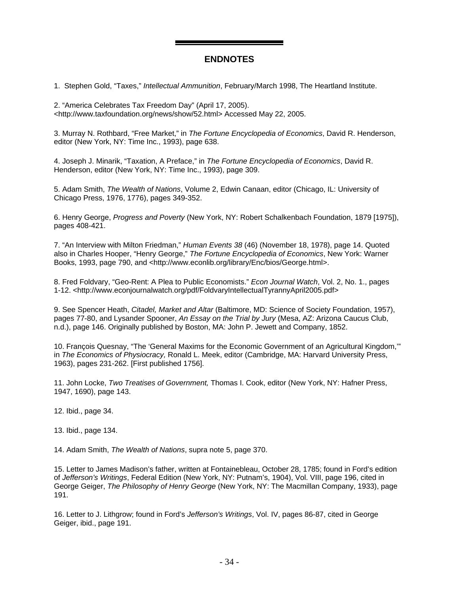#### **ENDNOTES**

1. Stephen Gold, "Taxes," *Intellectual Ammunition*, February/March 1998, The Heartland Institute.

2. "America Celebrates Tax Freedom Day" (April 17, 2005). <http://www.taxfoundation.org/news/show/52.html> Accessed May 22, 2005.

3. Murray N. Rothbard, "Free Market," in *The Fortune Encyclopedia of Economics*, David R. Henderson, editor (New York, NY: Time Inc., 1993), page 638.

4. Joseph J. Minarik, "Taxation, A Preface," in *The Fortune Encyclopedia of Economics*, David R. Henderson, editor (New York, NY: Time Inc., 1993), page 309.

5. Adam Smith, *The Wealth of Nations*, Volume 2, Edwin Canaan, editor (Chicago, IL: University of Chicago Press, 1976, 1776), pages 349-352.

6. Henry George, *Progress and Poverty* (New York, NY: Robert Schalkenbach Foundation, 1879 [1975]), pages 408-421.

7. "An Interview with Milton Friedman," *Human Events 38* (46) (November 18, 1978), page 14. Quoted also in Charles Hooper, "Henry George," *The Fortune Encyclopedia of Economics*, New York: Warner Books, 1993, page 790, and <http://www.econlib.org/library/Enc/bios/George.html>.

8. Fred Foldvary, "Geo-Rent: A Plea to Public Economists." *Econ Journal Watch*, Vol. 2, No. 1., pages 1-12. <http://www.econjournalwatch.org/pdf/FoldvaryIntellectualTyrannyApril2005.pdf>

9. See Spencer Heath, *Citadel, Market and Altar* (Baltimore, MD: Science of Society Foundation, 1957), pages 77-80, and Lysander Spooner, *An Essay on the Trial by Jury* (Mesa, AZ: Arizona Caucus Club, n.d.), page 146. Originally published by Boston, MA: John P. Jewett and Company, 1852.

10. François Quesnay, "The 'General Maxims for the Economic Government of an Agricultural Kingdom,'" in *The Economics of Physiocracy,* Ronald L. Meek, editor (Cambridge, MA: Harvard University Press, 1963), pages 231-262. [First published 1756].

11. John Locke, *Two Treatises of Government,* Thomas I. Cook, editor (New York, NY: Hafner Press, 1947, 1690), page 143.

12. Ibid., page 34.

13. Ibid., page 134.

14. Adam Smith, *The Wealth of Nations*, supra note 5, page 370.

15. Letter to James Madison's father, written at Fontainebleau, October 28, 1785; found in Ford's edition of *Jefferson's Writings*, Federal Edition (New York, NY: Putnam's, 1904), Vol. VIII, page 196, cited in George Geiger, *The Philosophy of Henry George* (New York, NY: The Macmillan Company, 1933), page 191.

16. Letter to J. Lithgrow; found in Ford's *Jefferson's Writings*, Vol. IV, pages 86-87, cited in George Geiger, ibid., page 191.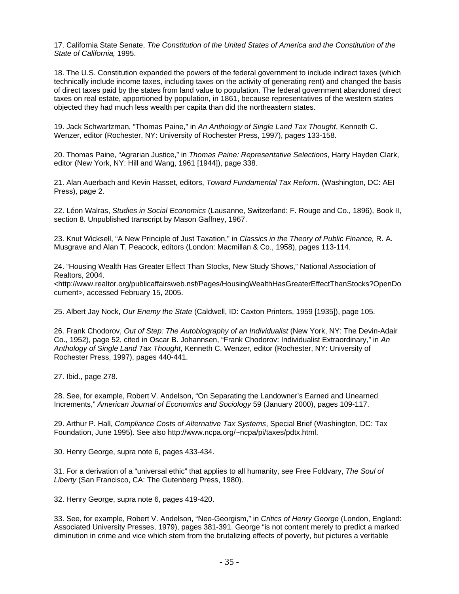17. California State Senate, *The Constitution of the United States of America and the Constitution of the State of California,* 1995.

18. The U.S. Constitution expanded the powers of the federal government to include indirect taxes (which technically include income taxes, including taxes on the activity of generating rent) and changed the basis of direct taxes paid by the states from land value to population. The federal government abandoned direct taxes on real estate, apportioned by population, in 1861, because representatives of the western states objected they had much less wealth per capita than did the northeastern states.

19. Jack Schwartzman, "Thomas Paine," in *An Anthology of Single Land Tax Thought*, Kenneth C. Wenzer, editor (Rochester, NY: University of Rochester Press, 1997), pages 133-158.

20. Thomas Paine, "Agrarian Justice," in *Thomas Paine: Representative Selections*, Harry Hayden Clark, editor (New York, NY: Hill and Wang, 1961 [1944]), page 338.

21. Alan Auerbach and Kevin Hasset, editors, *Toward Fundamental Tax Reform*. (Washington, DC: AEI Press), page 2.

22. Léon Walras, *Studies in Social Economics* (Lausanne, Switzerland: F. Rouge and Co., 1896), Book II, section 8. Unpublished transcript by Mason Gaffney, 1967.

23. Knut Wicksell, "A New Principle of Just Taxation," in *Classics in the Theory of Public Finance,* R. A. Musgrave and Alan T. Peacock, editors (London: Macmillan & Co., 1958), pages 113-114.

24. "Housing Wealth Has Greater Effect Than Stocks, New Study Shows," National Association of Realtors, 2004.

<http://www.realtor.org/publicaffairsweb.nsf/Pages/HousingWealthHasGreaterEffectThanStocks?OpenDo cument>, accessed February 15, 2005.

25. Albert Jay Nock, *Our Enemy the State* (Caldwell, ID: Caxton Printers, 1959 [1935]), page 105.

26. Frank Chodorov, *Out of Step: The Autobiography of an Individualist* (New York, NY: The Devin-Adair Co., 1952), page 52, cited in Oscar B. Johannsen, "Frank Chodorov: Individualist Extraordinary," in *An Anthology of Single Land Tax Thought*, Kenneth C. Wenzer, editor (Rochester, NY: University of Rochester Press, 1997), pages 440-441.

27. Ibid., page 278.

28. See, for example, Robert V. Andelson, "On Separating the Landowner's Earned and Unearned Increments," *American Journal of Economics and Sociology* 59 (January 2000), pages 109-117.

29. Arthur P. Hall, *Compliance Costs of Alternative Tax Systems*, Special Brief (Washington, DC: Tax Foundation, June 1995). See also http://www.ncpa.org/~ncpa/pi/taxes/pdtx.html.

30. Henry George, supra note 6, pages 433-434.

31. For a derivation of a "universal ethic" that applies to all humanity, see Free Foldvary, *The Soul of Liberty* (San Francisco, CA: The Gutenberg Press, 1980).

32. Henry George, supra note 6, pages 419-420.

33. See, for example, Robert V. Andelson, "Neo-Georgism," in *Critics of Henry George* (London, England: Associated University Presses, 1979), pages 381-391. George "is not content merely to predict a marked diminution in crime and vice which stem from the brutalizing effects of poverty, but pictures a veritable